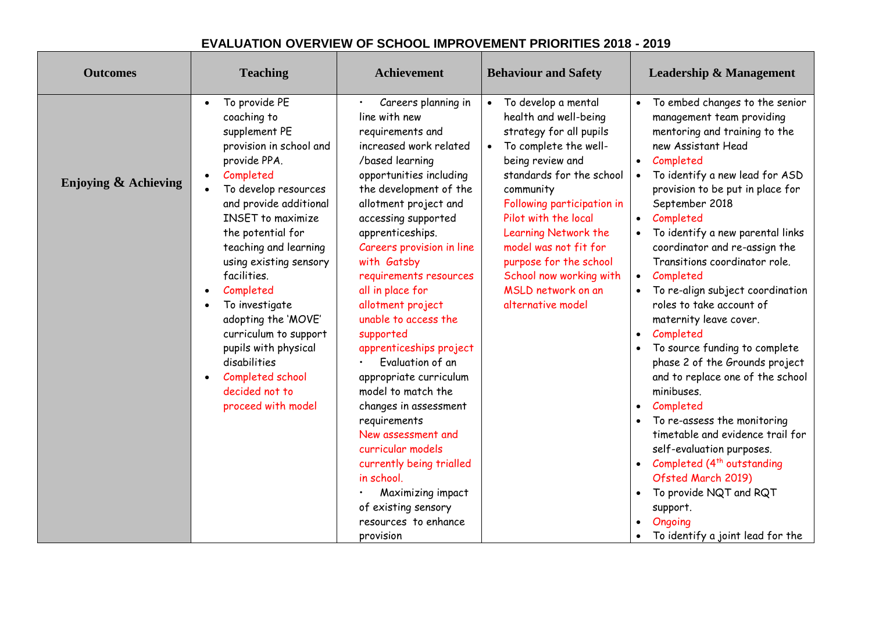## **EVALUATION OVERVIEW OF SCHOOL IMPROVEMENT PRIORITIES 2018 - 2019**

| <b>Outcomes</b>      | <b>Teaching</b>                                                                                                                                                                                                                                                                                                                                                                                                                                                                                                                             | <b>Achievement</b>                                                                                                                                                                                                                                                                                                                                                                                                                                                                                                                                                                                                                                                                  | <b>Behaviour and Safety</b>                                                                                                                                                                                                                                                                                                                                                                    | <b>Leadership &amp; Management</b>                                                                                                                                                                                                                                                                                                                                                                                                                                                                                                                                                                                                                                                                                                                                                                                                                                    |
|----------------------|---------------------------------------------------------------------------------------------------------------------------------------------------------------------------------------------------------------------------------------------------------------------------------------------------------------------------------------------------------------------------------------------------------------------------------------------------------------------------------------------------------------------------------------------|-------------------------------------------------------------------------------------------------------------------------------------------------------------------------------------------------------------------------------------------------------------------------------------------------------------------------------------------------------------------------------------------------------------------------------------------------------------------------------------------------------------------------------------------------------------------------------------------------------------------------------------------------------------------------------------|------------------------------------------------------------------------------------------------------------------------------------------------------------------------------------------------------------------------------------------------------------------------------------------------------------------------------------------------------------------------------------------------|-----------------------------------------------------------------------------------------------------------------------------------------------------------------------------------------------------------------------------------------------------------------------------------------------------------------------------------------------------------------------------------------------------------------------------------------------------------------------------------------------------------------------------------------------------------------------------------------------------------------------------------------------------------------------------------------------------------------------------------------------------------------------------------------------------------------------------------------------------------------------|
| Enjoying & Achieving | To provide PE<br>$\bullet$<br>coaching to<br>supplement PE<br>provision in school and<br>provide PPA.<br>Completed<br>$\bullet$<br>To develop resources<br>$\bullet$<br>and provide additional<br><b>INSET</b> to maximize<br>the potential for<br>teaching and learning<br>using existing sensory<br>facilities.<br>Completed<br>$\bullet$<br>To investigate<br>$\bullet$<br>adopting the 'MOVE'<br>curriculum to support<br>pupils with physical<br>disabilities<br>Completed school<br>$\bullet$<br>decided not to<br>proceed with model | Careers planning in<br>line with new<br>requirements and<br>increased work related<br>/based learning<br>opportunities including<br>the development of the<br>allotment project and<br>accessing supported<br>apprenticeships.<br>Careers provision in line<br>with Gatsby<br>requirements resources<br>all in place for<br>allotment project<br>unable to access the<br>supported<br>apprenticeships project<br>Evaluation of an<br>appropriate curriculum<br>model to match the<br>changes in assessment<br>requirements<br>New assessment and<br>curricular models<br>currently being trialled<br>in school.<br>Maximizing impact<br>of existing sensory<br>resources to enhance | To develop a mental<br>$\bullet$<br>health and well-being<br>strategy for all pupils<br>To complete the well-<br>$\bullet$<br>being review and<br>standards for the school<br>community<br>Following participation in<br>Pilot with the local<br>Learning Network the<br>model was not fit for<br>purpose for the school<br>School now working with<br>MSLD network on an<br>alternative model | To embed changes to the senior<br>management team providing<br>mentoring and training to the<br>new Assistant Head<br>Completed<br>To identify a new lead for ASD<br>provision to be put in place for<br>September 2018<br>Completed<br>$\bullet$<br>To identify a new parental links<br>coordinator and re-assign the<br>Transitions coordinator role.<br>Completed<br>$\bullet$<br>To re-align subject coordination<br>roles to take account of<br>maternity leave cover.<br>Completed<br>$\bullet$<br>To source funding to complete<br>phase 2 of the Grounds project<br>and to replace one of the school<br>minibuses.<br>Completed<br>$\bullet$<br>To re-assess the monitoring<br>timetable and evidence trail for<br>self-evaluation purposes.<br>Completed (4 <sup>th</sup> outstanding<br>Ofsted March 2019)<br>To provide NQT and RQT<br>support.<br>Ongoing |
|                      |                                                                                                                                                                                                                                                                                                                                                                                                                                                                                                                                             | provision                                                                                                                                                                                                                                                                                                                                                                                                                                                                                                                                                                                                                                                                           |                                                                                                                                                                                                                                                                                                                                                                                                | To identify a joint lead for the                                                                                                                                                                                                                                                                                                                                                                                                                                                                                                                                                                                                                                                                                                                                                                                                                                      |